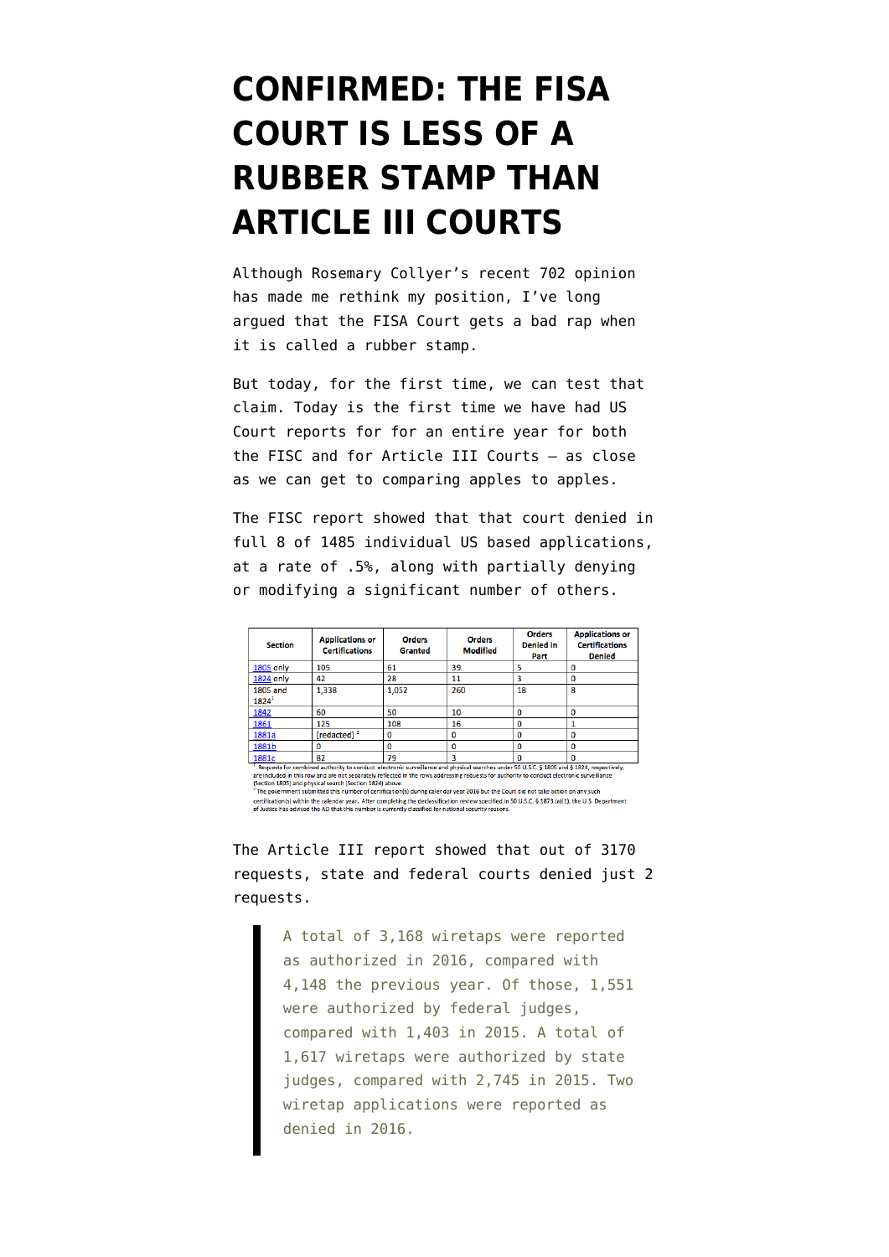## **[CONFIRMED: THE FISA](https://www.emptywheel.net/2017/06/28/confirmed-the-fisa-court-is-less-of-a-rubber-stamp-than-title-iii-courts/) [COURT IS LESS OF A](https://www.emptywheel.net/2017/06/28/confirmed-the-fisa-court-is-less-of-a-rubber-stamp-than-title-iii-courts/) [RUBBER STAMP THAN](https://www.emptywheel.net/2017/06/28/confirmed-the-fisa-court-is-less-of-a-rubber-stamp-than-title-iii-courts/) [ARTICLE III COURTS](https://www.emptywheel.net/2017/06/28/confirmed-the-fisa-court-is-less-of-a-rubber-stamp-than-title-iii-courts/)**

Although [Rosemary Collyer's recent 702 opinion](https://www.emptywheel.net/2017/05/30/the-problems-with-rosemary-collyers-shitty-upstream-702-opinion/) has made me rethink my position, I've long argued that the FISA Court gets a bad rap when it is called a rubber stamp.

But today, for the first time, we can test that claim. Today is the first time we have had US Court reports for for an entire year for both the [FISC](http://www.uscourts.gov/sites/default/files/ao_foreign_int_surveillance_court_annual_report_2016_final_0.pdf) and for [Article III Courts](http://www.uscourts.gov/news/2017/06/28/2016-wiretap-report-federal-orders-rise-state-totals-fall) — as close as we can get to comparing apples to apples.

The FISC report showed that that court denied in full 8 of 1485 individual US based applications, at a rate of .5%, along with partially denying or modifying a significant number of others.

| <b>Section</b>       | <b>Applications or</b><br><b>Certifications</b>                                                                                    | <b>Orders</b><br>Granted | <b>Orders</b><br><b>Modified</b> | <b>Orders</b><br><b>Denied in</b><br>Part | <b>Applications or</b><br><b>Certifications</b><br><b>Denied</b> |
|----------------------|------------------------------------------------------------------------------------------------------------------------------------|--------------------------|----------------------------------|-------------------------------------------|------------------------------------------------------------------|
| <b>1805 only</b>     | 105                                                                                                                                | 61                       | 39                               |                                           |                                                                  |
| <b>1824 only</b>     | 42                                                                                                                                 | 28                       | 11                               |                                           |                                                                  |
| 1805 and<br>$1824^1$ | 1,338                                                                                                                              | 1,052                    | 260                              | 18                                        | 8                                                                |
| 1842                 | 60                                                                                                                                 | 50                       | 10                               |                                           |                                                                  |
| 1861                 | 125                                                                                                                                | 108                      | 16                               |                                           |                                                                  |
| 1881a                | [redacted] <sup>2</sup>                                                                                                            | 0                        | ٥                                |                                           |                                                                  |
| 1881b                | 0                                                                                                                                  | Ω                        | ٥                                | Ω                                         |                                                                  |
| 1881c                | 82<br>because the contract contractors and contract constitution and developed conditions to the contract of the second constants. | 79                       |                                  |                                           |                                                                  |

<sup>1</sup> Requests for combined authority to conduct electronic suveillance and physical searches under 50 U.S.C. § 1805 and § 1824, respecti<br>are included in this row and are not separately reflected in the rows addressing reque

certification(s) within the calendar year. After completing the declassification review specified in 50 U.S.C. § 1873 (a)(1), the U.S. Department<br>of Justice has advised the AO that this number is currently classified for n

The Article III report showed that out of 3170 requests, state and federal courts denied just 2 requests.

> A total of 3,168 wiretaps were reported as authorized in 2016, compared with 4,148 the previous year. Of those, 1,551 were authorized by federal judges, compared with 1,403 in 2015. A total of 1,617 wiretaps were authorized by state judges, compared with 2,745 in 2015. Two wiretap applications were reported as denied in 2016.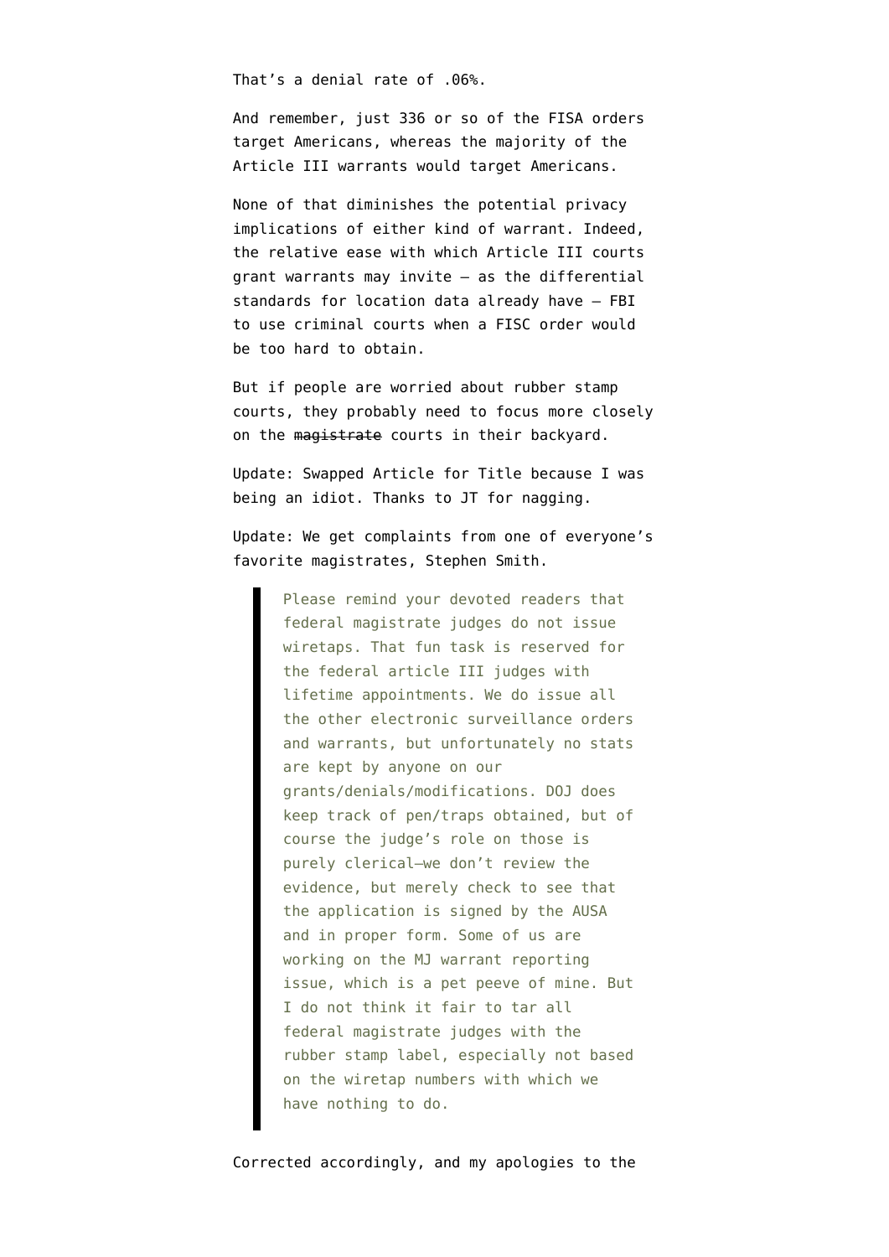That's a denial rate of .06%.

And remember, just 336 or so of the FISA orders target Americans, whereas the majority of the Article III warrants would target Americans.

None of that diminishes the potential privacy implications of either kind of warrant. Indeed, the relative ease with which Article III courts grant warrants may invite — as the [differential](https://www.emptywheel.net/2015/11/13/its-harder-for-fbi-to-get-location-data-from-phone-companies-under-fisa-than-other-ways/) [standards for location data already have](https://www.emptywheel.net/2015/11/13/its-harder-for-fbi-to-get-location-data-from-phone-companies-under-fisa-than-other-ways/) — FBI to use criminal courts when a FISC order would be too hard to obtain.

But if people are worried about rubber stamp courts, they probably need to focus more closely on the magistrate courts in their backyard.

Update: Swapped Article for Title because I was being an idiot. Thanks to JT for nagging.

Update: We get complaints from one of everyone's favorite magistrates, Stephen Smith.

> Please remind your devoted readers that federal magistrate judges do not issue wiretaps. That fun task is reserved for the federal article III judges with lifetime appointments. We do issue all the other electronic surveillance orders and warrants, but unfortunately no stats are kept by anyone on our grants/denials/modifications. DOJ does keep track of pen/traps obtained, but of course the judge's role on those is purely clerical–we don't review the evidence, but merely check to see that the application is signed by the AUSA and in proper form. Some of us are working on the MJ warrant reporting issue, which is a pet peeve of mine. But I do not think it fair to tar all federal magistrate judges with the rubber stamp label, especially not based on the wiretap numbers with which we have nothing to do.